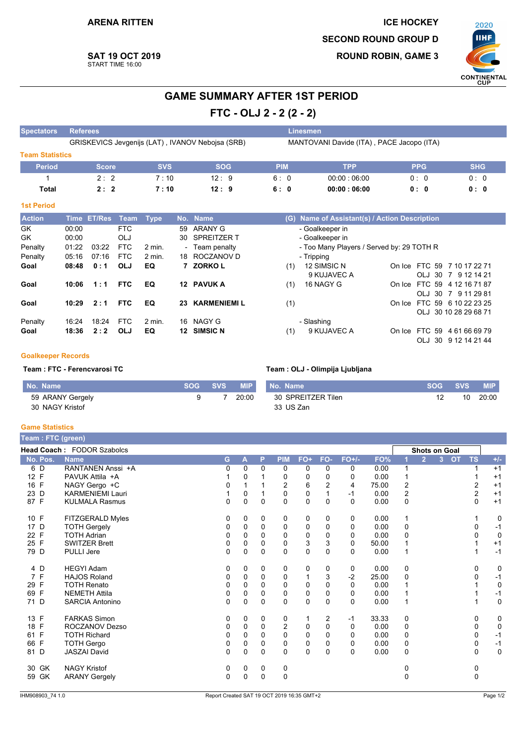

# **SAT 19 OCT 2019** START TIME 16:00

# **GAME SUMMARY AFTER 1ST PERIOD**

FTC - OLJ 2 - 2 (2 - 2)

| Spectators             | <b>Referees</b> |               |            |             |     |                                                  |            |     | Linesmen                                         |               |               |
|------------------------|-----------------|---------------|------------|-------------|-----|--------------------------------------------------|------------|-----|--------------------------------------------------|---------------|---------------|
|                        |                 |               |            |             |     | GRISKEVICS Jevgenijs (LAT), IVANOV Nebojsa (SRB) |            |     | MANTOVANI Davide (ITA), PACE Jacopo (ITA)        |               |               |
| <b>Team Statistics</b> |                 |               |            |             |     |                                                  |            |     |                                                  |               |               |
| <b>Period</b>          |                 | <b>Score</b>  |            | <b>SVS</b>  |     | <b>SOG</b>                                       | <b>PIM</b> |     | <b>TPP</b>                                       | <b>PPG</b>    | <b>SHG</b>    |
|                        |                 | 2:2           |            | 7:10        |     | 12:9                                             | 6:0        |     | 00:00:06:00                                      | 0:0           | 0:0           |
| <b>Total</b>           |                 | 2:2           |            | 7:10        |     | 12:9                                             | 6:0        |     | 00:00:06:00                                      | 0: 0          | 0: 0          |
| <b>1st Period</b>      |                 |               |            |             |     |                                                  |            |     |                                                  |               |               |
| <b>Action</b>          | <b>Time</b>     | <b>ET/Res</b> | Team       | <b>Type</b> |     | No. Name                                         |            | (G) | <b>Name of Assistant(s) / Action Description</b> |               |               |
| <b>GK</b>              | 00:00           |               | <b>FTC</b> |             | 59  | ARANY G                                          |            |     | - Goalkeeper in                                  |               |               |
| <b>GK</b>              | 00:00           |               | OLJ        |             | 30  | <b>SPREITZER T</b>                               |            |     | - Goalkeeper in                                  |               |               |
| Penalty                | 01:22           | 03:22         | <b>FTC</b> | $2$ min.    |     | - Team penalty                                   |            |     | - Too Many Players / Served by: 29 TOTH R        |               |               |
| Penalty                | 05:16           | 07:16         | <b>FTC</b> | 2 min.      | 18. | ROCZANOV D                                       |            |     | - Tripping                                       |               |               |
| Goal                   | 08:48           | 0:1           | <b>OLJ</b> | EQ          |     | <b>ZORKOL</b>                                    |            | (1) | 12 SIMSIC N                                      | On Ice FTC 59 | 7 10 17 22 71 |

#### $10:06$  1:1 EQ 12 PAVUK A Goal **FTC** Goal  $10:29$  $2:1$ **FTC** EQ 23 KARMENIEMI L 16 NAGY G Penalty 16:24 18:24 **FTC**  $2$  min. 12 SIMSIC N Goal  $18:36$  $2:2$ OLJ EQ

#### 9 KUJAVEC A OLJ 30 7 9 12 14 21 16 NAGY G On Ice FTC 59 4 12 16 71 87  $(1)$ OLJ 30 7 9 11 29 81 On Ice FTC 59 6 10 22 23 25  $(1)$ OLJ 30 10 28 29 68 71 - Slashing 9 KUJAVEC A On Ice FTC 59 4 61 66 69 79  $(1)$

OLJ 30 9 12 14 21 44

## **Goalkeeper Records**

Team : FTC - Ferencvarosi TC

| No. Name         | SOG SVS | <b>MIP</b> | No. Name           | <b>SOG</b> | <b>SVS</b> | <b>MIP</b> |
|------------------|---------|------------|--------------------|------------|------------|------------|
| 59 ARANY Gergely |         | 20:00      | 30 SPREITZER Tilen |            |            | 20:00      |
| 30 NAGY Kristof  |         |            | 33 US Zan          |            |            |            |

Team : OLJ - Olimpija Ljubljana

#### **Game Statistics**

| Team: FTC (green)  |                            |   |              |             |                  |              |                |          |       |                |                |                           |                |             |
|--------------------|----------------------------|---|--------------|-------------|------------------|--------------|----------------|----------|-------|----------------|----------------|---------------------------|----------------|-------------|
|                    | Head Coach: FODOR Szabolcs |   |              |             |                  |              |                |          |       |                |                | <b>Shots on Goal</b>      |                |             |
| No. Pos.           | <b>Name</b>                | G | $\mathsf{A}$ | P           | <b>PIM</b>       | $FO+$        | FO-            | $FO+/-$  | FO%   |                | $\overline{2}$ | <b>OT</b><br>$\mathbf{3}$ | <b>TS</b>      | $+/-$       |
| 6 D                | RANTANEN Anssi +A          | 0 | 0            | $\Omega$    | 0                | 0            | $\mathbf{0}$   | 0        | 0.00  |                |                |                           |                | $+1$        |
| 12 F               | PAVUK Attila +A            |   | 0            |             | 0                | 0            | 0              | 0        | 0.00  |                |                |                           |                | $+1$        |
| 16 F               | NAGY Gergo +C              | 0 |              |             | $\boldsymbol{2}$ | 6            | $\overline{2}$ | 4        | 75.00 | $\overline{2}$ |                |                           | 2              | $+1$        |
| 23 D               | <b>KARMENIEMI Lauri</b>    |   | $\Omega$     |             | $\mathbf 0$      | 0            |                | $-1$     | 0.00  | $\overline{2}$ |                |                           | $\overline{2}$ | $+1$        |
| 87 F               | <b>KULMALA Rasmus</b>      | 0 | $\Omega$     | $\Omega$    | $\Omega$         | $\mathbf{0}$ | $\Omega$       | $\Omega$ | 0.00  | $\Omega$       |                |                           | $\Omega$       | $+1$        |
| 10 F               | FITZGERALD Myles           | 0 | 0            | 0           | 0                | 0            | 0              | 0        | 0.00  | 1              |                |                           |                | 0           |
| 17 D               | <b>TOTH Gergely</b>        | 0 | $\Omega$     | $\Omega$    | 0                | 0            | $\Omega$       | 0        | 0.00  | 0              |                |                           | 0              | $-1$        |
| 22 F               | <b>TOTH Adrian</b>         | 0 | 0            | 0           | $\mathbf 0$      | 0            | 0              | 0        | 0.00  | 0              |                |                           | 0              | 0           |
| 25 F               | <b>SWITZER Brett</b>       | 0 | $\Omega$     | $\Omega$    | $\mathbf 0$      | 3            | 3              | $\Omega$ | 50.00 |                |                |                           |                | $+1$        |
| 79 D               | <b>PULLI Jere</b>          | 0 | 0            | $\mathbf 0$ | $\mathbf 0$      | 0            | $\Omega$       | $\Omega$ | 0.00  |                |                |                           |                | $-1$        |
| 4 D                | <b>HEGYI Adam</b>          | 0 | 0            | 0           | 0                | 0            | 0              | 0        | 0.00  | 0              |                |                           | $\Omega$       | 0           |
| 7 F                | <b>HAJOS Roland</b>        | 0 | 0            | $\Omega$    | $\mathbf 0$      | 1            | 3              | $-2$     | 25.00 | 0              |                |                           | 0              | $-1$        |
| F<br>29            | <b>TOTH Renato</b>         | 0 | 0            | 0           | $\mathbf 0$      | 0            | $\mathbf 0$    | 0        | 0.00  |                |                |                           |                | $\mathbf 0$ |
| $\mathsf{F}$<br>69 | <b>NEMETH Attila</b>       | 0 | $\Omega$     | $\Omega$    | $\mathbf 0$      | 0            | $\Omega$       | 0        | 0.00  |                |                |                           |                | $-1$        |
| 71 D               | <b>SARCIA Antonino</b>     | 0 | 0            | $\Omega$    | $\Omega$         | 0            | $\Omega$       | $\Omega$ | 0.00  |                |                |                           |                | $\mathbf 0$ |
| 13 F               | <b>FARKAS Simon</b>        | 0 | 0            | 0           | 0                | 1            | 2              | $-1$     | 33.33 | 0              |                |                           | 0              | 0           |
| 18 F               | ROCZANOV Dezso             | 0 | 0            | $\mathbf 0$ | 2                | 0            | $\Omega$       | 0        | 0.00  | 0              |                |                           | 0              | $\mathbf 0$ |
| $\mathsf{F}$<br>61 | <b>TOTH Richard</b>        | 0 | 0            | $\Omega$    | $\mathbf 0$      | 0            | $\Omega$       | 0        | 0.00  | 0              |                |                           | 0              | $-1$        |
| F<br>66            | <b>TOTH Gergo</b>          | 0 | 0            | $\Omega$    | $\mathbf 0$      | 0            | $\Omega$       | 0        | 0.00  | 0              |                |                           | 0              | $-1$        |
| 81 D               | <b>JASZAI David</b>        | 0 | 0            | 0           | $\mathbf 0$      | 0            | 0              | $\Omega$ | 0.00  | 0              |                |                           | $\mathbf 0$    | $\mathbf 0$ |
| 30 GK              | <b>NAGY Kristof</b>        | 0 | 0            | 0           | 0                |              |                |          |       | O              |                |                           | 0              |             |
| 59 GK              | <b>ARANY Gergely</b>       | 0 | 0            | $\Omega$    | $\mathbf 0$      |              |                |          |       | 0              |                |                           | 0              |             |